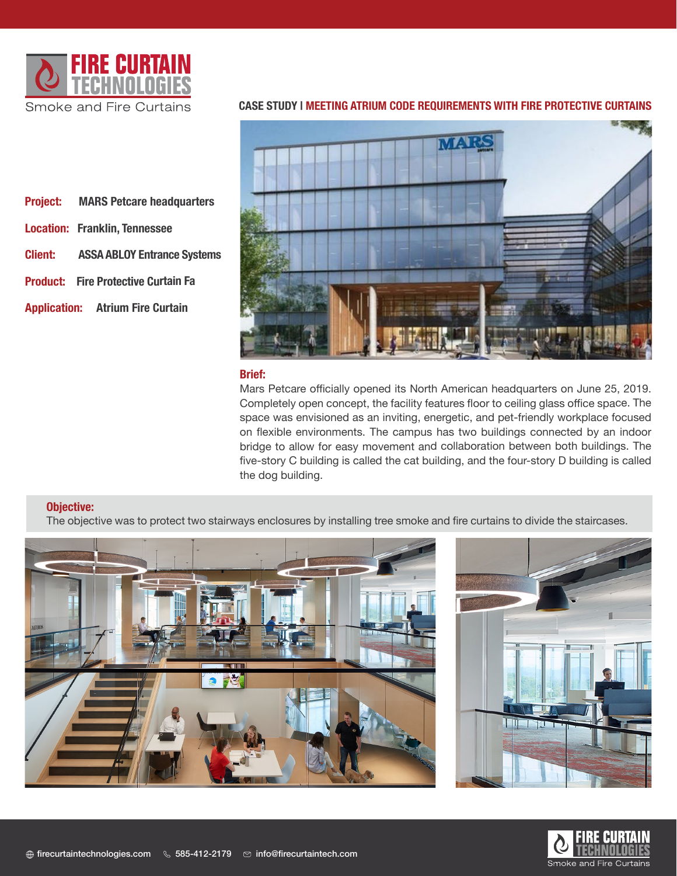

**Project: MARS Petcare headquarters**

**Client: ASSA ABLOY Entrance Systems** 

**Product: Fire Protective Curtain Fa**

**Application: Atrium Fire Curtain**

**Location: Franklin, Tennessee** 

| MARS            |  |
|-----------------|--|
|                 |  |
|                 |  |
|                 |  |
| <b>Spinster</b> |  |
| ą.              |  |

# **CASE STUDY | MEETING ATRIUM CODE REQUIREMENTS WITH FIRE PROTECTIVE CURTAINS**

#### **Brief:**

Mars Petcare officially opened its North American headquarters on June 25, 2019. Completely open concept, the facility features floor to ceiling glass office space. The space was envisioned as an inviting, energetic, and pet-friendly workplace focused on flexible environments. The campus has two buildings connected by an indoor bridge to allow for easy movement and collaboration between both buildings. The five-story C building is called the cat building, and the four-story D building is called the dog building.

### **Objective:**

The objective was to protect two stairways enclosures by installing tree smoke and fire curtains to divide the staircases.